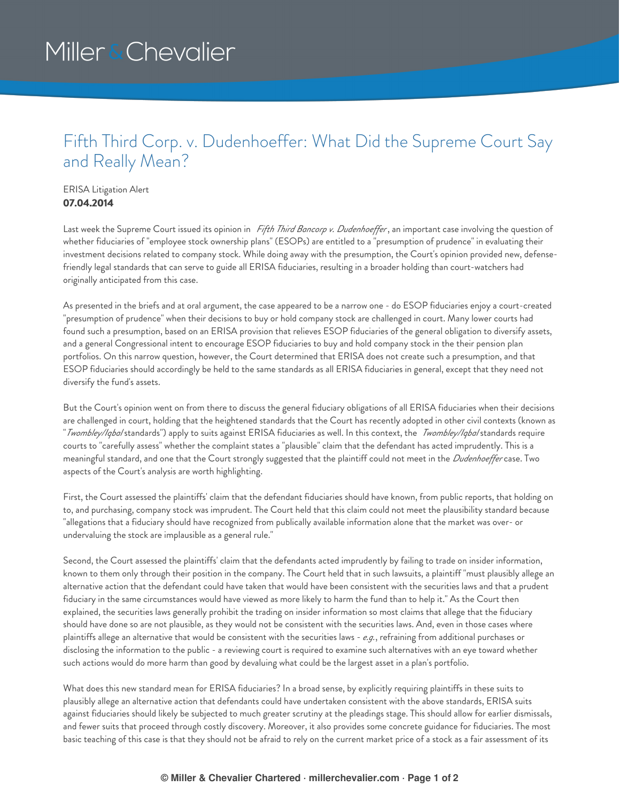## Miller & Chevalier

## Fifth Third Corp. v. Dudenhoeffer: What Did the Supreme Court Say and Really Mean?

## ERISA Litigation Alert **07.04.2014**

Last week the Supreme Court issued its opinion in *Fifth Third Bancorp v. Dudenhoef er*, an important case involving the question of whether fiduciaries of "employee stock ownership plans" (ESOPs) are entitled to a "presumption of prudence" in evaluating their investment decisions related to company stock. While doing away with the presumption, the Court's opinion provided new, defensefriendly legal standards that can serve to guide all ERISA fiduciaries, resulting in a broader holding than court-watchers had originally anticipated from this case.

As presented in the briefs and at oral argument, the case appeared to be a narrow one - do ESOP fiduciaries enjoy a court-created "presumption of prudence" when their decisions to buy or hold company stock are challenged in court. Many lower courts had found such a presumption, based on an ERISA provision that relieves ESOP fiduciaries of the general obligation to diversify assets, and a general Congressional intent to encourage ESOP fiduciaries to buy and hold company stock in the their pension plan portfolios. On this narrow question, however, the Court determined that ERISA does not create such a presumption, and that ESOP fiduciaries should accordingly be held to the same standards as all ERISA fiduciaries in general, except that they need not diversify the fund's assets.

But the Court's opinion went on from there to discuss the general fiduciary obligations of all ERISA fiduciaries when their decisions are challenged in court, holding that the heightened standards that the Court has recently adopted in other civil contexts (known as "*Twombley/Iqbal* standards") apply to suits against ERISA fiduciaries as well. In this context, the *Twombley/Iqbal* standards require courts to "carefully assess" whether the complaint states a "plausible" claim that the defendant has acted imprudently. This is a meaningful standard, and one that the Court strongly suggested that the plaintiff could not meet in the *Dudenhoeffer* case. Two aspects of the Court's analysis are worth highlighting.

First, the Court assessed the plaintiffs' claim that the defendant fiduciaries should have known, from public reports, that holding on to, and purchasing, company stock was imprudent. The Court held that this claim could not meet the plausibility standard because "allegations that a fiduciary should have recognized from publically available information alone that the market was over- or undervaluing the stock are implausible as a general rule."

Second, the Court assessed the plaintiffs' claim that the defendants acted imprudently by failing to trade on insider information, known to them only through their position in the company. The Court held that in such lawsuits, a plaintiff "must plausibly allege an alternative action that the defendant could have taken that would have been consistent with the securities laws and that a prudent fiduciary in the same circumstances would have viewed as more likely to harm the fund than to help it." As the Court then explained, the securities laws generally prohibit the trading on insider information so most claims that allege that the fiduciary should have done so are not plausible, as they would not be consistent with the securities laws. And, even in those cases where plaintiffs allege an alternative that would be consistent with the securities laws - *e.g.*, refraining from additional purchases or disclosing the information to the public - a reviewing court is required to examine such alternatives with an eye toward whether such actions would do more harm than good by devaluing what could be the largest asset in a plan's portfolio.

What does this new standard mean for ERISA fiduciaries? In a broad sense, by explicitly requiring plaintiffs in these suits to plausibly allege an alternative action that defendants could have undertaken consistent with the above standards, ERISA suits against fiduciaries should likely be subjected to much greater scrutiny at the pleadings stage. This should allow for earlier dismissals, and fewer suits that proceed through costly discovery. Moreover, it also provides some concrete guidance for fiduciaries. The most basic teaching of this case is that they should not be afraid to rely on the current market price of a stock as a fair assessment of its